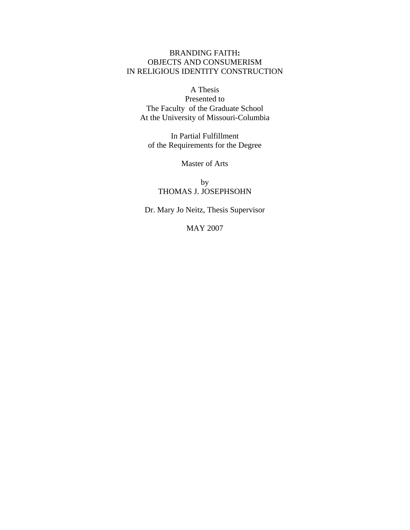# BRANDING FAITH**:**  OBJECTS AND CONSUMERISM IN RELIGIOUS IDENTITY CONSTRUCTION

# A Thesis

Presented to The Faculty of the Graduate School At the University of Missouri-Columbia

In Partial Fulfillment of the Requirements for the Degree

Master of Arts

by THOMAS J. JOSEPHSOHN

Dr. Mary Jo Neitz, Thesis Supervisor

MAY 2007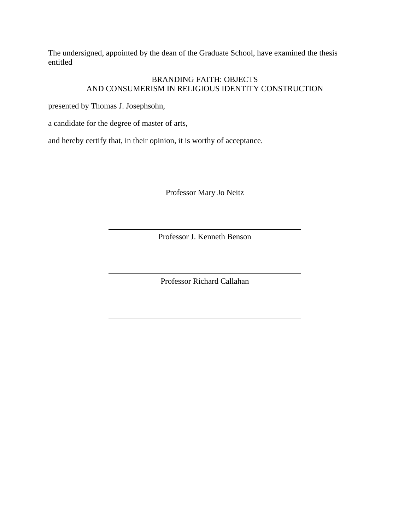The undersigned, appointed by the dean of the Graduate School, have examined the thesis entitled

## BRANDING FAITH: OBJECTS AND CONSUMERISM IN RELIGIOUS IDENTITY CONSTRUCTION

presented by Thomas J. Josephsohn,

a candidate for the degree of master of arts,

and hereby certify that, in their opinion, it is worthy of acceptance.

Professor Mary Jo Neitz

Professor J. Kenneth Benson

Professor Richard Callahan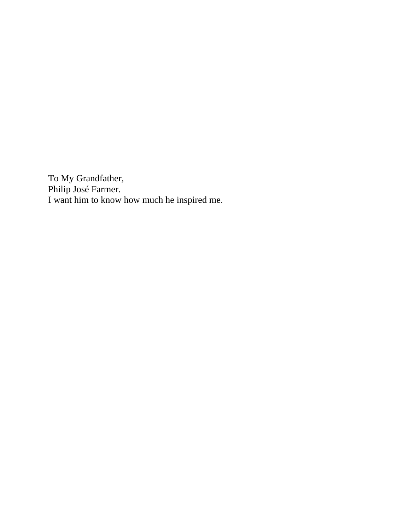To My Grandfather, Philip José Farmer. I want him to know how much he inspired me.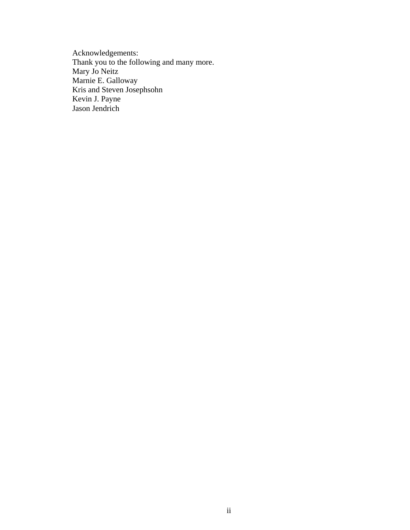Acknowledgements: Thank you to the following and many more. Mary Jo Neitz Marnie E. Galloway Kris and Steven Josephsohn Kevin J. Payne Jason Jendrich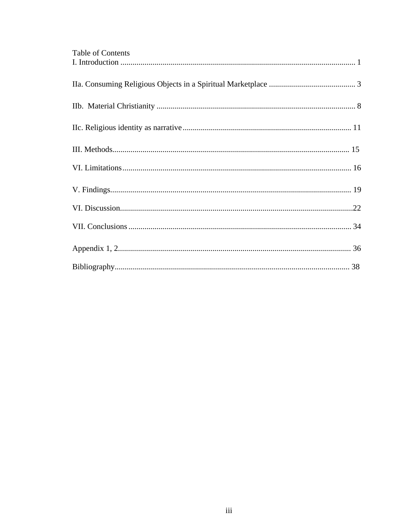| Table of Contents |  |
|-------------------|--|
|                   |  |
|                   |  |
|                   |  |
|                   |  |
|                   |  |
|                   |  |
|                   |  |
|                   |  |
|                   |  |
|                   |  |
|                   |  |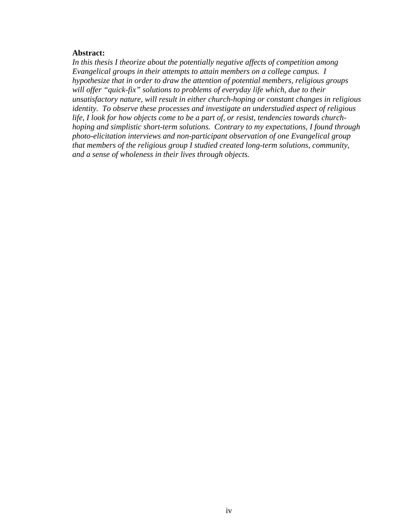### **Abstract:**

*In this thesis I theorize about the potentially negative affects of competition among Evangelical groups in their attempts to attain members on a college campus. I hypothesize that in order to draw the attention of potential members, religious groups will offer "quick-fix" solutions to problems of everyday life which, due to their unsatisfactory nature, will result in either church-hoping or constant changes in religious identity. To observe these processes and investigate an understudied aspect of religious life, I look for how objects come to be a part of, or resist, tendencies towards churchhoping and simplistic short-term solutions. Contrary to my expectations, I found through photo-elicitation interviews and non-participant observation of one Evangelical group that members of the religious group I studied created long-term solutions, community, and a sense of wholeness in their lives through objects.*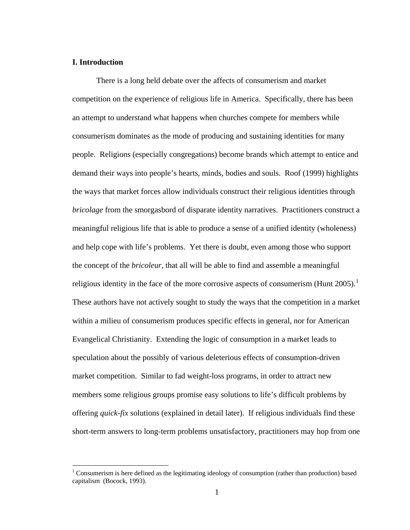### <span id="page-6-0"></span>**I. Introduction**

 $\overline{a}$ 

There is a long held debate over the affects of consumerism and market competition on the experience of religious life in America. Specifically, there has been an attempt to understand what happens when churches compete for members while consumerism dominates as the mode of producing and sustaining identities for many people. Religions (especially congregations) become brands which attempt to entice and demand their ways into people's hearts, minds, bodies and souls. Roof (1999) highlights the ways that market forces allow individuals construct their religious identities through *bricolage* from the smorgasbord of disparate identity narratives. Practitioners construct a meaningful religious life that is able to produce a sense of a unified identity (wholeness) and help cope with life's problems. Yet there is doubt, even among those who support the concept of the *bricoleur*, that all will be able to find and assemble a meaningful religious identity in the face of the more corrosive aspects of consumerism (Hunt 2005).<sup>[1](#page-6-1)</sup> These authors have not actively sought to study the ways that the competition in a market within a milieu of consumerism produces specific effects in general, nor for American Evangelical Christianity. Extending the logic of consumption in a market leads to speculation about the possibly of various deleterious effects of consumption-driven market competition. Similar to fad weight-loss programs, in order to attract new members some religious groups promise easy solutions to life's difficult problems by offering *quick-fix* solutions (explained in detail later). If religious individuals find these short-term answers to long-term problems unsatisfactory, practitioners may hop from one

<span id="page-6-1"></span><sup>&</sup>lt;sup>1</sup> Consumerism is here defined as the legitimating ideology of consumption (rather than production) based capitalism (Bocock, 1993).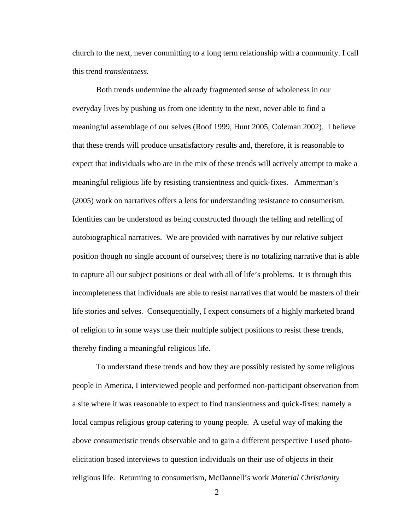church to the next, never committing to a long term relationship with a community. I call this trend *transientness.* 

Both trends undermine the already fragmented sense of wholeness in our everyday lives by pushing us from one identity to the next, never able to find a meaningful assemblage of our selves (Roof 1999, Hunt 2005, Coleman 2002). I believe that these trends will produce unsatisfactory results and, therefore, it is reasonable to expect that individuals who are in the mix of these trends will actively attempt to make a meaningful religious life by resisting transientness and quick-fixes. Ammerman's (2005) work on narratives offers a lens for understanding resistance to consumerism. Identities can be understood as being constructed through the telling and retelling of autobiographical narratives. We are provided with narratives by our relative subject position though no single account of ourselves; there is no totalizing narrative that is able to capture all our subject positions or deal with all of life's problems. It is through this incompleteness that individuals are able to resist narratives that would be masters of their life stories and selves. Consequentially, I expect consumers of a highly marketed brand of religion to in some ways use their multiple subject positions to resist these trends, thereby finding a meaningful religious life.

To understand these trends and how they are possibly resisted by some religious people in America, I interviewed people and performed non-participant observation from a site where it was reasonable to expect to find transientness and quick-fixes: namely a local campus religious group catering to young people. A useful way of making the above consumeristic trends observable and to gain a different perspective I used photoelicitation based interviews to question individuals on their use of objects in their religious life. Returning to consumerism, McDannell's work *Material Christianity*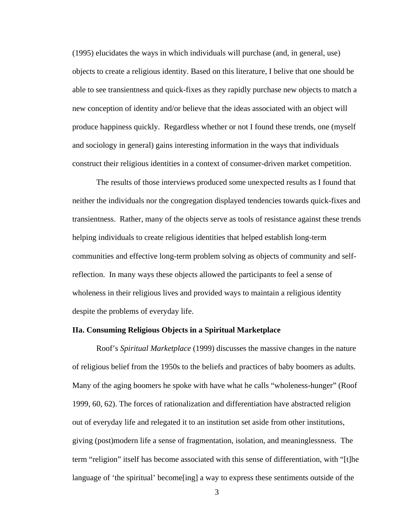<span id="page-8-0"></span>(1995) elucidates the ways in which individuals will purchase (and, in general, use) objects to create a religious identity. Based on this literature, I belive that one should be able to see transientness and quick-fixes as they rapidly purchase new objects to match a new conception of identity and/or believe that the ideas associated with an object will produce happiness quickly. Regardless whether or not I found these trends, one (myself and sociology in general) gains interesting information in the ways that individuals construct their religious identities in a context of consumer-driven market competition.

 The results of those interviews produced some unexpected results as I found that neither the individuals nor the congregation displayed tendencies towards quick-fixes and transientness. Rather, many of the objects serve as tools of resistance against these trends helping individuals to create religious identities that helped establish long-term communities and effective long-term problem solving as objects of community and selfreflection. In many ways these objects allowed the participants to feel a sense of wholeness in their religious lives and provided ways to maintain a religious identity despite the problems of everyday life.

### **IIa. Consuming Religious Objects in a Spiritual Marketplace**

Roof's *Spiritual Marketplace* (1999) discusses the massive changes in the nature of religious belief from the 1950s to the beliefs and practices of baby boomers as adults. Many of the aging boomers he spoke with have what he calls "wholeness-hunger" (Roof 1999, 60, 62). The forces of rationalization and differentiation have abstracted religion out of everyday life and relegated it to an institution set aside from other institutions, giving (post)modern life a sense of fragmentation, isolation, and meaninglessness. The term "religion" itself has become associated with this sense of differentiation, with "[t]he language of 'the spiritual' become[ing] a way to express these sentiments outside of the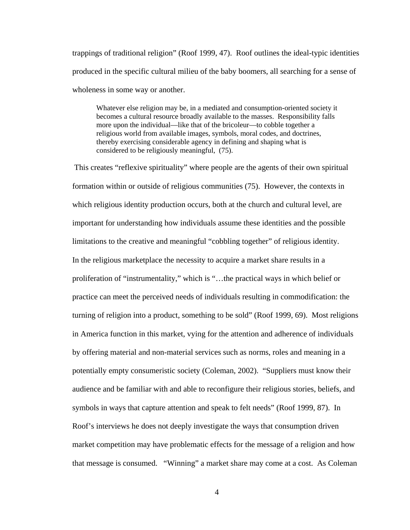trappings of traditional religion" (Roof 1999, 47). Roof outlines the ideal-typic identities produced in the specific cultural milieu of the baby boomers, all searching for a sense of wholeness in some way or another.

Whatever else religion may be, in a mediated and consumption-oriented society it becomes a cultural resource broadly available to the masses. Responsibility falls more upon the individual—like that of the bricoleur—to cobble together a religious world from available images, symbols, moral codes, and doctrines, thereby exercising considerable agency in defining and shaping what is considered to be religiously meaningful, (75).

 This creates "reflexive spirituality" where people are the agents of their own spiritual formation within or outside of religious communities (75). However, the contexts in which religious identity production occurs, both at the church and cultural level, are important for understanding how individuals assume these identities and the possible limitations to the creative and meaningful "cobbling together" of religious identity. In the religious marketplace the necessity to acquire a market share results in a proliferation of "instrumentality," which is "…the practical ways in which belief or practice can meet the perceived needs of individuals resulting in commodification: the turning of religion into a product, something to be sold" (Roof 1999, 69). Most religions in America function in this market, vying for the attention and adherence of individuals by offering material and non-material services such as norms, roles and meaning in a potentially empty consumeristic society (Coleman, 2002). "Suppliers must know their audience and be familiar with and able to reconfigure their religious stories, beliefs, and symbols in ways that capture attention and speak to felt needs" (Roof 1999, 87). In Roof's interviews he does not deeply investigate the ways that consumption driven market competition may have problematic effects for the message of a religion and how that message is consumed. "Winning" a market share may come at a cost. As Coleman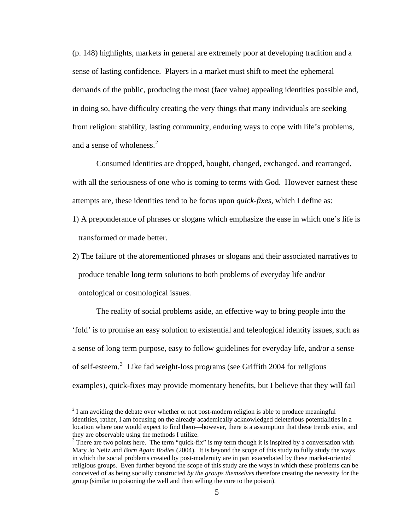(p. 148) highlights, markets in general are extremely poor at developing tradition and a sense of lasting confidence. Players in a market must shift to meet the ephemeral demands of the public, producing the most (face value) appealing identities possible and, in doing so, have difficulty creating the very things that many individuals are seeking from religion: stability, lasting community, enduring ways to cope with life's problems, and a sense of wholeness.<sup>[2](#page-10-0)</sup>

Consumed identities are dropped, bought, changed, exchanged, and rearranged, with all the seriousness of one who is coming to terms with God. However earnest these attempts are, these identities tend to be focus upon *quick-fixes*, which I define as:

- 1) A preponderance of phrases or slogans which emphasize the ease in which one's life is transformed or made better.
- 2) The failure of the aforementioned phrases or slogans and their associated narratives to produce tenable long term solutions to both problems of everyday life and/or ontological or cosmological issues.

The reality of social problems aside, an effective way to bring people into the 'fold' is to promise an easy solution to existential and teleological identity issues, such as a sense of long term purpose, easy to follow guidelines for everyday life, and/or a sense of self-esteem.<sup>[3](#page-10-1)</sup> Like fad weight-loss programs (see Griffith 2004 for religious examples), quick-fixes may provide momentary benefits, but I believe that they will fail

 $\overline{a}$ 

<span id="page-10-0"></span> $2^{2}$  I am avoiding the debate over whether or not post-modern religion is able to produce meaningful identities, rather, I am focusing on the already academically acknowledged deleterious potentialities in a location where one would expect to find them—however, there is a assumption that these trends exist, and they are observable using the methods I utilize.

<span id="page-10-1"></span> $3$  There are two points here. The term "quick-fix" is my term though it is inspired by a conversation with Mary Jo Neitz and *Born Again Bodies* (2004). It is beyond the scope of this study to fully study the ways in which the social problems created by post-modernity are in part exacerbated by these market-oriented religious groups. Even further beyond the scope of this study are the ways in which these problems can be conceived of as being socially constructed *by the groups themselves* therefore creating the necessity for the group (similar to poisoning the well and then selling the cure to the poison).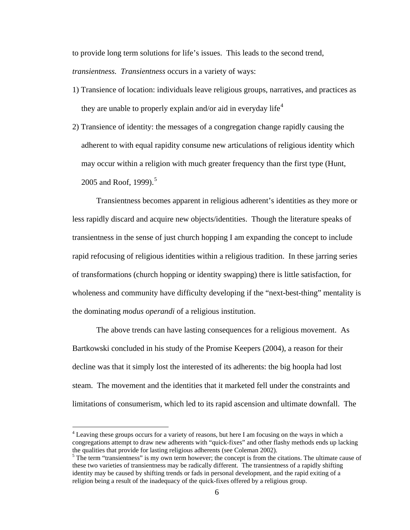to provide long term solutions for life's issues. This leads to the second trend,

*transientness. Transientness* occurs in a variety of ways:

- 1) Transience of location: individuals leave religious groups, narratives, and practices as they are unable to properly explain and/or aid in everyday life<sup>[4](#page-11-0)</sup>
- 2) Transience of identity: the messages of a congregation change rapidly causing the adherent to with equal rapidity consume new articulations of religious identity which may occur within a religion with much greater frequency than the first type (Hunt, 200[5](#page-11-1) and Roof, 1999).<sup>5</sup>

Transientness becomes apparent in religious adherent's identities as they more or less rapidly discard and acquire new objects/identities. Though the literature speaks of transientness in the sense of just church hopping I am expanding the concept to include rapid refocusing of religious identities within a religious tradition. In these jarring series of transformations (church hopping or identity swapping) there is little satisfaction, for wholeness and community have difficulty developing if the "next-best-thing" mentality is the dominating *modus operandi* of a religious institution.

The above trends can have lasting consequences for a religious movement. As Bartkowski concluded in his study of the Promise Keepers (2004), a reason for their decline was that it simply lost the interested of its adherents: the big hoopla had lost steam. The movement and the identities that it marketed fell under the constraints and limitations of consumerism, which led to its rapid ascension and ultimate downfall. The

 $\overline{a}$ 

<span id="page-11-0"></span><sup>&</sup>lt;sup>4</sup> Leaving these groups occurs for a variety of reasons, but here I am focusing on the ways in which a congregations attempt to draw new adherents with "quick-fixes" and other flashy methods ends up lacking the qualities that provide for lasting religious adherents (see Coleman 2002).

<span id="page-11-1"></span> $<sup>5</sup>$  The term "transientness" is my own term however; the concept is from the citations. The ultimate cause of</sup> these two varieties of transientness may be radically different. The transientness of a rapidly shifting identity may be caused by shifting trends or fads in personal development, and the rapid exiting of a religion being a result of the inadequacy of the quick-fixes offered by a religious group.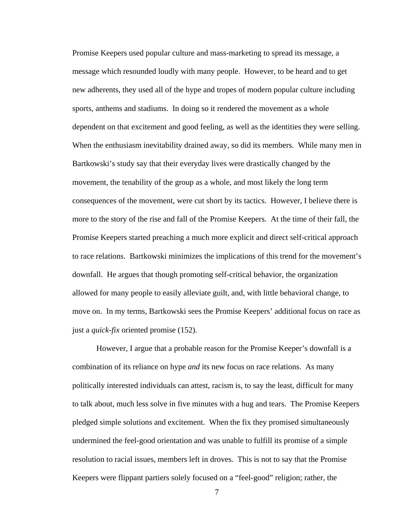Promise Keepers used popular culture and mass-marketing to spread its message, a message which resounded loudly with many people. However, to be heard and to get new adherents, they used all of the hype and tropes of modern popular culture including sports, anthems and stadiums. In doing so it rendered the movement as a whole dependent on that excitement and good feeling, as well as the identities they were selling. When the enthusiasm inevitability drained away, so did its members. While many men in Bartkowski's study say that their everyday lives were drastically changed by the movement, the tenability of the group as a whole, and most likely the long term consequences of the movement, were cut short by its tactics. However, I believe there is more to the story of the rise and fall of the Promise Keepers. At the time of their fall, the Promise Keepers started preaching a much more explicit and direct self-critical approach to race relations. Bartkowski minimizes the implications of this trend for the movement's downfall. He argues that though promoting self-critical behavior, the organization allowed for many people to easily alleviate guilt, and, with little behavioral change, to move on. In my terms, Bartkowski sees the Promise Keepers' additional focus on race as just a *quick-fix* oriented promise (152).

However, I argue that a probable reason for the Promise Keeper's downfall is a combination of its reliance on hype *and* its new focus on race relations. As many politically interested individuals can attest, racism is, to say the least, difficult for many to talk about, much less solve in five minutes with a hug and tears. The Promise Keepers pledged simple solutions and excitement. When the fix they promised simultaneously undermined the feel-good orientation and was unable to fulfill its promise of a simple resolution to racial issues, members left in droves. This is not to say that the Promise Keepers were flippant partiers solely focused on a "feel-good" religion; rather, the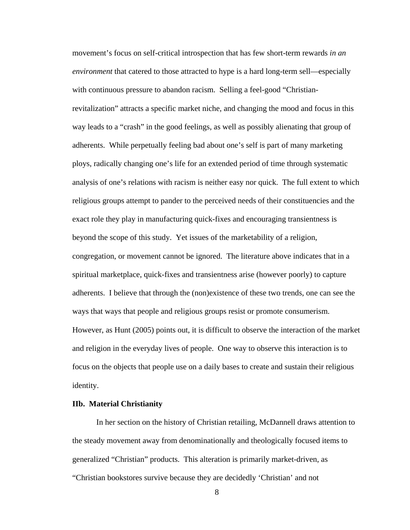<span id="page-13-0"></span>movement's focus on self-critical introspection that has few short-term rewards *in an environment* that catered to those attracted to hype is a hard long-term sell—especially with continuous pressure to abandon racism. Selling a feel-good "Christianrevitalization" attracts a specific market niche, and changing the mood and focus in this way leads to a "crash" in the good feelings, as well as possibly alienating that group of adherents. While perpetually feeling bad about one's self is part of many marketing ploys, radically changing one's life for an extended period of time through systematic analysis of one's relations with racism is neither easy nor quick. The full extent to which religious groups attempt to pander to the perceived needs of their constituencies and the exact role they play in manufacturing quick-fixes and encouraging transientness is beyond the scope of this study. Yet issues of the marketability of a religion, congregation, or movement cannot be ignored. The literature above indicates that in a spiritual marketplace, quick-fixes and transientness arise (however poorly) to capture adherents. I believe that through the (non)existence of these two trends, one can see the ways that ways that people and religious groups resist or promote consumerism. However, as Hunt (2005) points out, it is difficult to observe the interaction of the market and religion in the everyday lives of people. One way to observe this interaction is to focus on the objects that people use on a daily bases to create and sustain their religious identity.

#### **IIb. Material Christianity**

In her section on the history of Christian retailing, McDannell draws attention to the steady movement away from denominationally and theologically focused items to generalized "Christian" products. This alteration is primarily market-driven, as "Christian bookstores survive because they are decidedly 'Christian' and not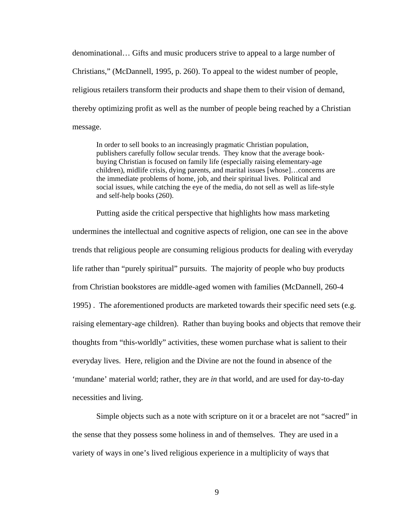denominational… Gifts and music producers strive to appeal to a large number of Christians," (McDannell, 1995, p. 260). To appeal to the widest number of people, religious retailers transform their products and shape them to their vision of demand, thereby optimizing profit as well as the number of people being reached by a Christian message.

In order to sell books to an increasingly pragmatic Christian population, publishers carefully follow secular trends. They know that the average bookbuying Christian is focused on family life (especially raising elementary-age children), midlife crisis, dying parents, and marital issues [whose]…concerns are the immediate problems of home, job, and their spiritual lives. Political and social issues, while catching the eye of the media, do not sell as well as life-style and self-help books (260).

 Putting aside the critical perspective that highlights how mass marketing undermines the intellectual and cognitive aspects of religion, one can see in the above trends that religious people are consuming religious products for dealing with everyday life rather than "purely spiritual" pursuits. The majority of people who buy products from Christian bookstores are middle-aged women with families (McDannell, 260-4 1995) . The aforementioned products are marketed towards their specific need sets (e.g. raising elementary-age children). Rather than buying books and objects that remove their thoughts from "this-worldly" activities, these women purchase what is salient to their everyday lives. Here, religion and the Divine are not the found in absence of the 'mundane' material world; rather, they are *in* that world, and are used for day-to-day necessities and living.

Simple objects such as a note with scripture on it or a bracelet are not "sacred" in the sense that they possess some holiness in and of themselves. They are used in a variety of ways in one's lived religious experience in a multiplicity of ways that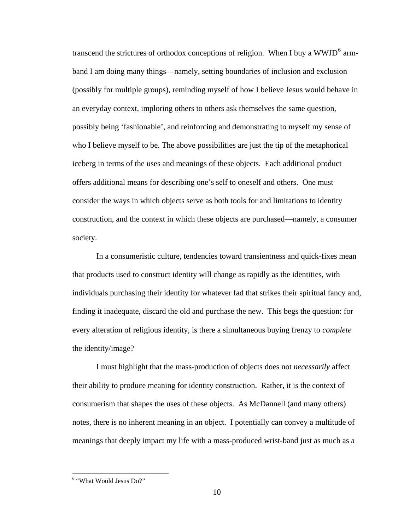transcend the strictures of orthodox conceptions of religion. When I buy a WWJD<sup>[6](#page-15-0)</sup> armband I am doing many things—namely, setting boundaries of inclusion and exclusion (possibly for multiple groups), reminding myself of how I believe Jesus would behave in an everyday context, imploring others to others ask themselves the same question, possibly being 'fashionable', and reinforcing and demonstrating to myself my sense of who I believe myself to be. The above possibilities are just the tip of the metaphorical iceberg in terms of the uses and meanings of these objects. Each additional product offers additional means for describing one's self to oneself and others. One must consider the ways in which objects serve as both tools for and limitations to identity construction, and the context in which these objects are purchased—namely, a consumer society.

 In a consumeristic culture, tendencies toward transientness and quick-fixes mean that products used to construct identity will change as rapidly as the identities, with individuals purchasing their identity for whatever fad that strikes their spiritual fancy and, finding it inadequate, discard the old and purchase the new. This begs the question: for every alteration of religious identity, is there a simultaneous buying frenzy to *complete*  the identity/image?

I must highlight that the mass-production of objects does not *necessarily* affect their ability to produce meaning for identity construction. Rather, it is the context of consumerism that shapes the uses of these objects. As McDannell (and many others) notes, there is no inherent meaning in an object. I potentially can convey a multitude of meanings that deeply impact my life with a mass-produced wrist-band just as much as a

 $\overline{a}$ 

<span id="page-15-0"></span><sup>6</sup> "What Would Jesus Do?"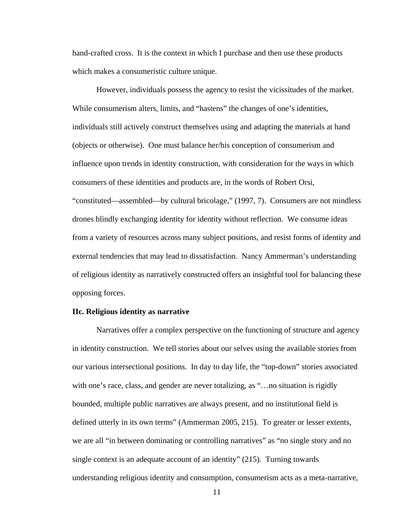<span id="page-16-0"></span>hand-crafted cross. It is the context in which I purchase and then use these products which makes a consumeristic culture unique.

However, individuals possess the agency to resist the vicissitudes of the market. While consumerism alters, limits, and "hastens" the changes of one's identities, individuals still actively construct themselves using and adapting the materials at hand (objects or otherwise). One must balance her/his conception of consumerism and influence upon trends in identity construction, with consideration for the ways in which consumers of these identities and products are, in the words of Robert Orsi, "constituted—assembled—by cultural bricolage," (1997, 7). Consumers are not mindless drones blindly exchanging identity for identity without reflection. We consume ideas from a variety of resources across many subject positions, and resist forms of identity and external tendencies that may lead to dissatisfaction. Nancy Ammerman's understanding of religious identity as narratively constructed offers an insightful tool for balancing these opposing forces.

## **IIc. Religious identity as narrative**

Narratives offer a complex perspective on the functioning of structure and agency in identity construction. We tell stories about our selves using the available stories from our various intersectional positions. In day to day life, the "top-down" stories associated with one's race, class, and gender are never totalizing, as "…no situation is rigidly bounded, multiple public narratives are always present, and no institutional field is defined utterly in its own terms" (Ammerman 2005, 215). To greater or lesser extents, we are all "in between dominating or controlling narratives" as "no single story and no single context is an adequate account of an identity" (215). Turning towards understanding religious identity and consumption, consumerism acts as a meta-narrative,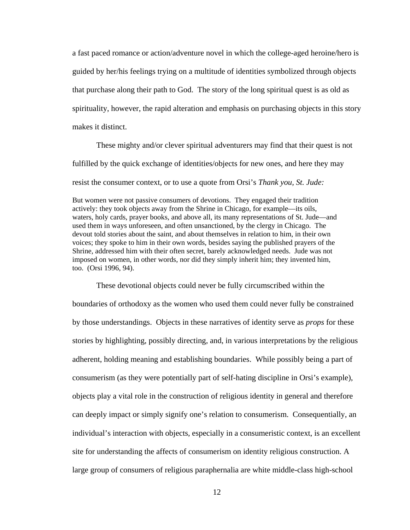a fast paced romance or action/adventure novel in which the college-aged heroine/hero is guided by her/his feelings trying on a multitude of identities symbolized through objects that purchase along their path to God. The story of the long spiritual quest is as old as spirituality, however, the rapid alteration and emphasis on purchasing objects in this story makes it distinct.

 These mighty and/or clever spiritual adventurers may find that their quest is not fulfilled by the quick exchange of identities/objects for new ones, and here they may resist the consumer context, or to use a quote from Orsi's *Thank you, St. Jude:* 

But women were not passive consumers of devotions. They engaged their tradition actively: they took objects away from the Shrine in Chicago, for example—its oils, waters, holy cards, prayer books, and above all, its many representations of St. Jude—and used them in ways unforeseen, and often unsanctioned, by the clergy in Chicago. The devout told stories about the saint, and about themselves in relation to him, in their own voices; they spoke to him in their own words, besides saying the published prayers of the Shrine, addressed him with their often secret, barely acknowledged needs. Jude was not imposed on women, in other words, nor did they simply inherit him; they invented him, too. (Orsi 1996, 94).

These devotional objects could never be fully circumscribed within the boundaries of orthodoxy as the women who used them could never fully be constrained by those understandings. Objects in these narratives of identity serve as *props* for these stories by highlighting, possibly directing, and, in various interpretations by the religious adherent, holding meaning and establishing boundaries. While possibly being a part of consumerism (as they were potentially part of self-hating discipline in Orsi's example), objects play a vital role in the construction of religious identity in general and therefore can deeply impact or simply signify one's relation to consumerism. Consequentially, an individual's interaction with objects, especially in a consumeristic context, is an excellent site for understanding the affects of consumerism on identity religious construction. A large group of consumers of religious paraphernalia are white middle-class high-school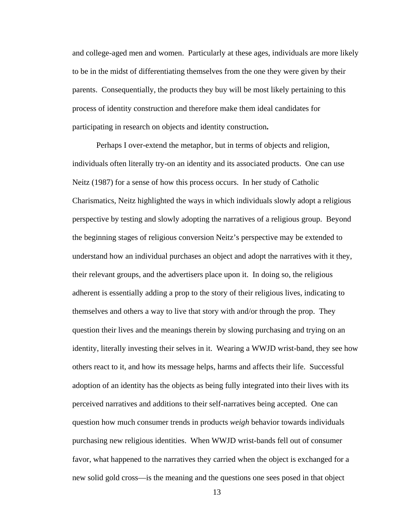and college-aged men and women. Particularly at these ages, individuals are more likely to be in the midst of differentiating themselves from the one they were given by their parents. Consequentially, the products they buy will be most likely pertaining to this process of identity construction and therefore make them ideal candidates for participating in research on objects and identity construction**.**

 Perhaps I over-extend the metaphor, but in terms of objects and religion, individuals often literally try-on an identity and its associated products. One can use Neitz (1987) for a sense of how this process occurs. In her study of Catholic Charismatics, Neitz highlighted the ways in which individuals slowly adopt a religious perspective by testing and slowly adopting the narratives of a religious group. Beyond the beginning stages of religious conversion Neitz's perspective may be extended to understand how an individual purchases an object and adopt the narratives with it they, their relevant groups, and the advertisers place upon it. In doing so, the religious adherent is essentially adding a prop to the story of their religious lives, indicating to themselves and others a way to live that story with and/or through the prop. They question their lives and the meanings therein by slowing purchasing and trying on an identity, literally investing their selves in it. Wearing a WWJD wrist-band, they see how others react to it, and how its message helps, harms and affects their life. Successful adoption of an identity has the objects as being fully integrated into their lives with its perceived narratives and additions to their self-narratives being accepted. One can question how much consumer trends in products *weigh* behavior towards individuals purchasing new religious identities. When WWJD wrist-bands fell out of consumer favor, what happened to the narratives they carried when the object is exchanged for a new solid gold cross—is the meaning and the questions one sees posed in that object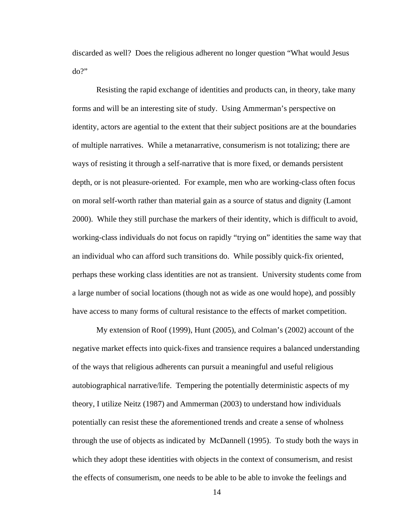discarded as well? Does the religious adherent no longer question "What would Jesus do?"

Resisting the rapid exchange of identities and products can, in theory, take many forms and will be an interesting site of study. Using Ammerman's perspective on identity, actors are agential to the extent that their subject positions are at the boundaries of multiple narratives. While a metanarrative, consumerism is not totalizing; there are ways of resisting it through a self-narrative that is more fixed, or demands persistent depth, or is not pleasure-oriented. For example, men who are working-class often focus on moral self-worth rather than material gain as a source of status and dignity (Lamont 2000). While they still purchase the markers of their identity, which is difficult to avoid, working-class individuals do not focus on rapidly "trying on" identities the same way that an individual who can afford such transitions do. While possibly quick-fix oriented, perhaps these working class identities are not as transient. University students come from a large number of social locations (though not as wide as one would hope), and possibly have access to many forms of cultural resistance to the effects of market competition.

 My extension of Roof (1999), Hunt (2005), and Colman's (2002) account of the negative market effects into quick-fixes and transience requires a balanced understanding of the ways that religious adherents can pursuit a meaningful and useful religious autobiographical narrative/life. Tempering the potentially deterministic aspects of my theory, I utilize Neitz (1987) and Ammerman (2003) to understand how individuals potentially can resist these the aforementioned trends and create a sense of wholness through the use of objects as indicated by McDannell (1995). To study both the ways in which they adopt these identities with objects in the context of consumerism, and resist the effects of consumerism, one needs to be able to be able to invoke the feelings and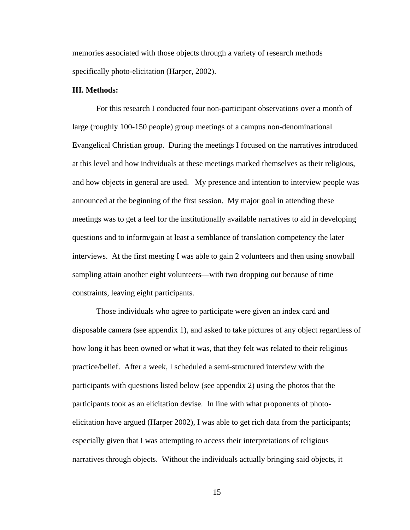memories associated with those objects through a variety of research methods specifically photo-elicitation (Harper, 2002).

### **III. Methods:**

For this research I conducted four non-participant observations over a month of large (roughly 100-150 people) group meetings of a campus non-denominational Evangelical Christian group. During the meetings I focused on the narratives introduced at this level and how individuals at these meetings marked themselves as their religious, and how objects in general are used. My presence and intention to interview people was announced at the beginning of the first session. My major goal in attending these meetings was to get a feel for the institutionally available narratives to aid in developing questions and to inform/gain at least a semblance of translation competency the later interviews. At the first meeting I was able to gain 2 volunteers and then using snowball sampling attain another eight volunteers—with two dropping out because of time constraints, leaving eight participants.

Those individuals who agree to participate were given an index card and disposable camera (see appendix 1), and asked to take pictures of any object regardless of how long it has been owned or what it was, that they felt was related to their religious practice/belief. After a week, I scheduled a semi-structured interview with the participants with questions listed below (see appendix 2) using the photos that the participants took as an elicitation devise. In line with what proponents of photoelicitation have argued (Harper 2002), I was able to get rich data from the participants; especially given that I was attempting to access their interpretations of religious narratives through objects. Without the individuals actually bringing said objects, it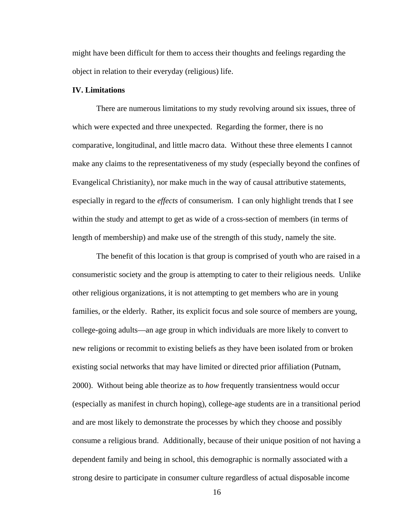<span id="page-21-0"></span>might have been difficult for them to access their thoughts and feelings regarding the object in relation to their everyday (religious) life.

#### **IV. Limitations**

There are numerous limitations to my study revolving around six issues, three of which were expected and three unexpected. Regarding the former, there is no comparative, longitudinal, and little macro data. Without these three elements I cannot make any claims to the representativeness of my study (especially beyond the confines of Evangelical Christianity), nor make much in the way of causal attributive statements, especially in regard to the *effects* of consumerism. I can only highlight trends that I see within the study and attempt to get as wide of a cross-section of members (in terms of length of membership) and make use of the strength of this study, namely the site.

The benefit of this location is that group is comprised of youth who are raised in a consumeristic society and the group is attempting to cater to their religious needs. Unlike other religious organizations, it is not attempting to get members who are in young families, or the elderly. Rather, its explicit focus and sole source of members are young, college-going adults—an age group in which individuals are more likely to convert to new religions or recommit to existing beliefs as they have been isolated from or broken existing social networks that may have limited or directed prior affiliation (Putnam, 2000). Without being able theorize as to *how* frequently transientness would occur (especially as manifest in church hoping), college-age students are in a transitional period and are most likely to demonstrate the processes by which they choose and possibly consume a religious brand. Additionally, because of their unique position of not having a dependent family and being in school, this demographic is normally associated with a strong desire to participate in consumer culture regardless of actual disposable income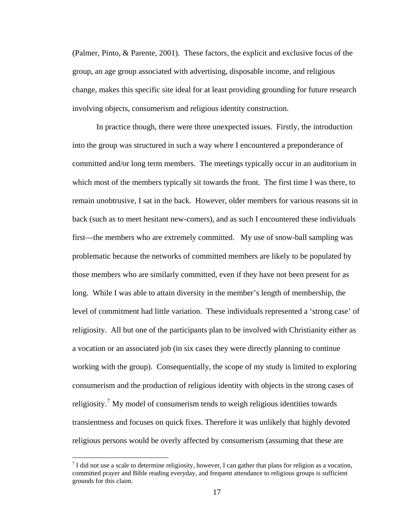(Palmer, Pinto, & Parente, 2001). These factors, the explicit and exclusive focus of the group, an age group associated with advertising, disposable income, and religious change, makes this specific site ideal for at least providing grounding for future research involving objects, consumerism and religious identity construction.

 In practice though, there were three unexpected issues. Firstly, the introduction into the group was structured in such a way where I encountered a preponderance of committed and/or long term members. The meetings typically occur in an auditorium in which most of the members typically sit towards the front. The first time I was there, to remain unobtrusive, I sat in the back. However, older members for various reasons sit in back (such as to meet hesitant new-comers), and as such I encountered these individuals first—the members who are extremely committed. My use of snow-ball sampling was problematic because the networks of committed members are likely to be populated by those members who are similarly committed, even if they have not been present for as long. While I was able to attain diversity in the member's length of membership, the level of commitment had little variation. These individuals represented a 'strong case' of religiosity. All but one of the participants plan to be involved with Christianity either as a vocation or an associated job (in six cases they were directly planning to continue working with the group). Consequentially, the scope of my study is limited to exploring consumerism and the production of religious identity with objects in the strong cases of religiosity.<sup>[7](#page-22-0)</sup> My model of consumerism tends to weigh religious identities towards transientness and focuses on quick fixes. Therefore it was unlikely that highly devoted religious persons would be overly affected by consumerism (assuming that these are

 $\overline{a}$ 

<span id="page-22-0"></span> $<sup>7</sup>$  I did not use a scale to determine religiosity, however, I can gather that plans for religion as a vocation,</sup> committed prayer and Bible reading everyday, and frequent attendance to religious groups is sufficient grounds for this claim.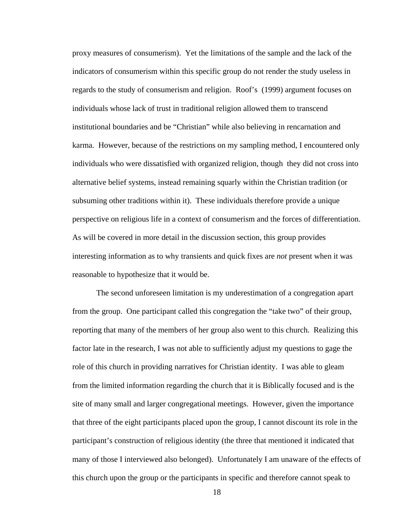proxy measures of consumerism). Yet the limitations of the sample and the lack of the indicators of consumerism within this specific group do not render the study useless in regards to the study of consumerism and religion. Roof's (1999) argument focuses on individuals whose lack of trust in traditional religion allowed them to transcend institutional boundaries and be "Christian" while also believing in rencarnation and karma. However, because of the restrictions on my sampling method, I encountered only individuals who were dissatisfied with organized religion, though they did not cross into alternative belief systems, instead remaining squarly within the Christian tradition (or subsuming other traditions within it). These individuals therefore provide a unique perspective on religious life in a context of consumerism and the forces of differentiation. As will be covered in more detail in the discussion section, this group provides interesting information as to why transients and quick fixes are *not* present when it was reasonable to hypothesize that it would be.

The second unforeseen limitation is my underestimation of a congregation apart from the group. One participant called this congregation the "take two" of their group, reporting that many of the members of her group also went to this church. Realizing this factor late in the research, I was not able to sufficiently adjust my questions to gage the role of this church in providing narratives for Christian identity. I was able to gleam from the limited information regarding the church that it is Biblically focused and is the site of many small and larger congregational meetings. However, given the importance that three of the eight participants placed upon the group, I cannot discount its role in the participant's construction of religious identity (the three that mentioned it indicated that many of those I interviewed also belonged). Unfortunately I am unaware of the effects of this church upon the group or the participants in specific and therefore cannot speak to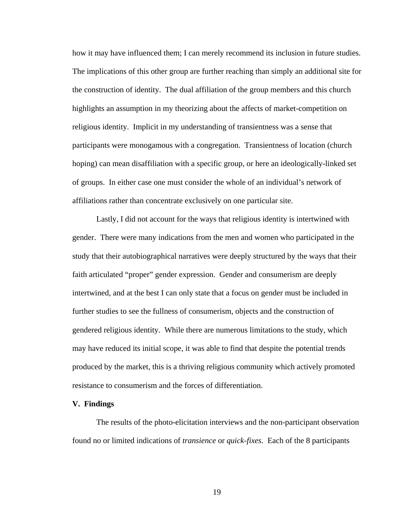how it may have influenced them; I can merely recommend its inclusion in future studies. The implications of this other group are further reaching than simply an additional site for the construction of identity. The dual affiliation of the group members and this church highlights an assumption in my theorizing about the affects of market-competition on religious identity. Implicit in my understanding of transientness was a sense that participants were monogamous with a congregation. Transientness of location (church hoping) can mean disaffiliation with a specific group, or here an ideologically-linked set of groups. In either case one must consider the whole of an individual's network of affiliations rather than concentrate exclusively on one particular site.

Lastly, I did not account for the ways that religious identity is intertwined with gender. There were many indications from the men and women who participated in the study that their autobiographical narratives were deeply structured by the ways that their faith articulated "proper" gender expression. Gender and consumerism are deeply intertwined, and at the best I can only state that a focus on gender must be included in further studies to see the fullness of consumerism, objects and the construction of gendered religious identity. While there are numerous limitations to the study, which may have reduced its initial scope, it was able to find that despite the potential trends produced by the market, this is a thriving religious community which actively promoted resistance to consumerism and the forces of differentiation.

#### **V. Findings**

The results of the photo-elicitation interviews and the non-participant observation found no or limited indications of *transience* or *quick-fixes*. Each of the 8 participants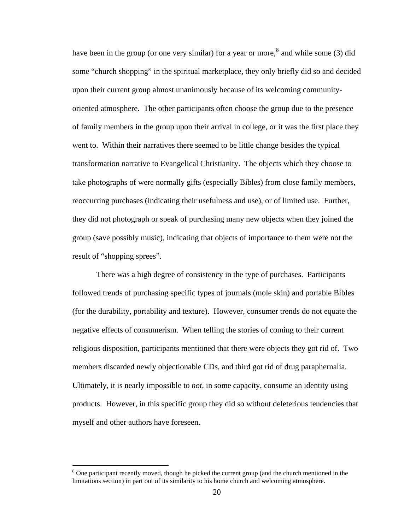have been in the group (or one very similar) for a year or more,<sup>[8](#page-25-0)</sup> and while some (3) did some "church shopping" in the spiritual marketplace, they only briefly did so and decided upon their current group almost unanimously because of its welcoming communityoriented atmosphere. The other participants often choose the group due to the presence of family members in the group upon their arrival in college, or it was the first place they went to. Within their narratives there seemed to be little change besides the typical transformation narrative to Evangelical Christianity. The objects which they choose to take photographs of were normally gifts (especially Bibles) from close family members, reoccurring purchases (indicating their usefulness and use), or of limited use. Further, they did not photograph or speak of purchasing many new objects when they joined the group (save possibly music), indicating that objects of importance to them were not the result of "shopping sprees".

There was a high degree of consistency in the type of purchases. Participants followed trends of purchasing specific types of journals (mole skin) and portable Bibles (for the durability, portability and texture). However, consumer trends do not equate the negative effects of consumerism. When telling the stories of coming to their current religious disposition, participants mentioned that there were objects they got rid of. Two members discarded newly objectionable CDs, and third got rid of drug paraphernalia. Ultimately, it is nearly impossible to *not,* in some capacity, consume an identity using products. However, in this specific group they did so without deleterious tendencies that myself and other authors have foreseen.

 $\overline{a}$ 

<span id="page-25-0"></span><sup>&</sup>lt;sup>8</sup> One participant recently moved, though he picked the current group (and the church mentioned in the limitations section) in part out of its similarity to his home church and welcoming atmosphere.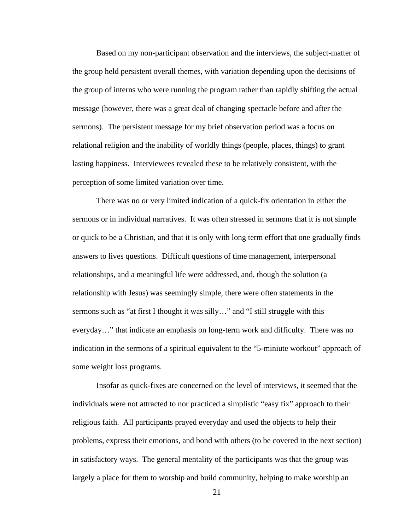Based on my non-participant observation and the interviews, the subject-matter of the group held persistent overall themes, with variation depending upon the decisions of the group of interns who were running the program rather than rapidly shifting the actual message (however, there was a great deal of changing spectacle before and after the sermons). The persistent message for my brief observation period was a focus on relational religion and the inability of worldly things (people, places, things) to grant lasting happiness. Interviewees revealed these to be relatively consistent, with the perception of some limited variation over time.

 There was no or very limited indication of a quick-fix orientation in either the sermons or in individual narratives. It was often stressed in sermons that it is not simple or quick to be a Christian, and that it is only with long term effort that one gradually finds answers to lives questions. Difficult questions of time management, interpersonal relationships, and a meaningful life were addressed, and, though the solution (a relationship with Jesus) was seemingly simple, there were often statements in the sermons such as "at first I thought it was silly…" and "I still struggle with this everyday…" that indicate an emphasis on long-term work and difficulty. There was no indication in the sermons of a spiritual equivalent to the "5-miniute workout" approach of some weight loss programs.

 Insofar as quick-fixes are concerned on the level of interviews, it seemed that the individuals were not attracted to nor practiced a simplistic "easy fix" approach to their religious faith. All participants prayed everyday and used the objects to help their problems, express their emotions, and bond with others (to be covered in the next section) in satisfactory ways. The general mentality of the participants was that the group was largely a place for them to worship and build community, helping to make worship an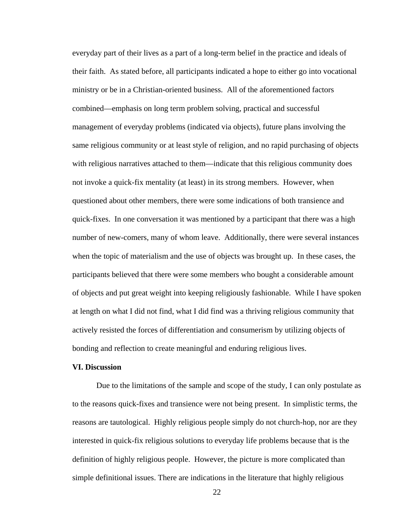everyday part of their lives as a part of a long-term belief in the practice and ideals of their faith. As stated before, all participants indicated a hope to either go into vocational ministry or be in a Christian-oriented business. All of the aforementioned factors combined—emphasis on long term problem solving, practical and successful management of everyday problems (indicated via objects), future plans involving the same religious community or at least style of religion, and no rapid purchasing of objects with religious narratives attached to them—indicate that this religious community does not invoke a quick-fix mentality (at least) in its strong members. However, when questioned about other members, there were some indications of both transience and quick-fixes. In one conversation it was mentioned by a participant that there was a high number of new-comers, many of whom leave. Additionally, there were several instances when the topic of materialism and the use of objects was brought up. In these cases, the participants believed that there were some members who bought a considerable amount of objects and put great weight into keeping religiously fashionable. While I have spoken at length on what I did not find, what I did find was a thriving religious community that actively resisted the forces of differentiation and consumerism by utilizing objects of bonding and reflection to create meaningful and enduring religious lives.

### **VI. Discussion**

Due to the limitations of the sample and scope of the study, I can only postulate as to the reasons quick-fixes and transience were not being present. In simplistic terms, the reasons are tautological. Highly religious people simply do not church-hop, nor are they interested in quick-fix religious solutions to everyday life problems because that is the definition of highly religious people. However, the picture is more complicated than simple definitional issues. There are indications in the literature that highly religious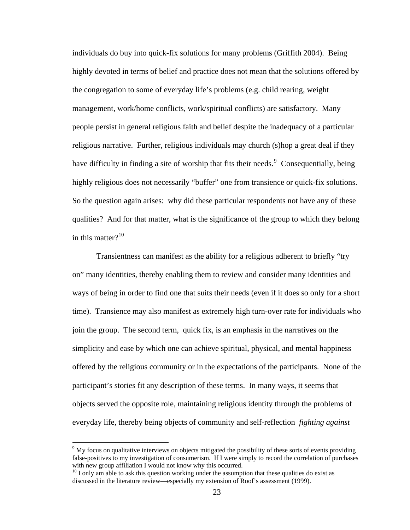individuals do buy into quick-fix solutions for many problems (Griffith 2004). Being highly devoted in terms of belief and practice does not mean that the solutions offered by the congregation to some of everyday life's problems (e.g. child rearing, weight management, work/home conflicts, work/spiritual conflicts) are satisfactory. Many people persist in general religious faith and belief despite the inadequacy of a particular religious narrative. Further, religious individuals may church (s)hop a great deal if they have difficulty in finding a site of worship that fits their needs.<sup>[9](#page-28-0)</sup> Consequentially, being highly religious does not necessarily "buffer" one from transience or quick-fix solutions. So the question again arises: why did these particular respondents not have any of these qualities? And for that matter, what is the significance of the group to which they belong in this matter $?^{10}$  $?^{10}$  $?^{10}$ 

 Transientness can manifest as the ability for a religious adherent to briefly "try on" many identities, thereby enabling them to review and consider many identities and ways of being in order to find one that suits their needs (even if it does so only for a short time). Transience may also manifest as extremely high turn-over rate for individuals who join the group. The second term, quick fix, is an emphasis in the narratives on the simplicity and ease by which one can achieve spiritual, physical, and mental happiness offered by the religious community or in the expectations of the participants. None of the participant's stories fit any description of these terms. In many ways, it seems that objects served the opposite role, maintaining religious identity through the problems of everyday life, thereby being objects of community and self-reflection *fighting against*

 $\overline{a}$ 

<span id="page-28-0"></span><sup>&</sup>lt;sup>9</sup> My focus on qualitative interviews on objects mitigated the possibility of these sorts of events providing false-positives to my investigation of consumerism. If I were simply to record the correlation of purchases with new group affiliation I would not know why this occurred.

<span id="page-28-1"></span> $10$  I only am able to ask this question working under the assumption that these qualities do exist as discussed in the literature review—especially my extension of Roof's assessment (1999).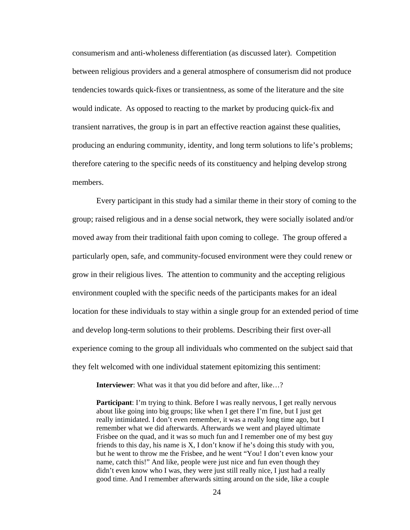consumerism and anti-wholeness differentiation (as discussed later). Competition between religious providers and a general atmosphere of consumerism did not produce tendencies towards quick-fixes or transientness, as some of the literature and the site would indicate. As opposed to reacting to the market by producing quick-fix and transient narratives, the group is in part an effective reaction against these qualities, producing an enduring community, identity, and long term solutions to life's problems; therefore catering to the specific needs of its constituency and helping develop strong members.

Every participant in this study had a similar theme in their story of coming to the group; raised religious and in a dense social network, they were socially isolated and/or moved away from their traditional faith upon coming to college. The group offered a particularly open, safe, and community-focused environment were they could renew or grow in their religious lives. The attention to community and the accepting religious environment coupled with the specific needs of the participants makes for an ideal location for these individuals to stay within a single group for an extended period of time and develop long-term solutions to their problems. Describing their first over-all experience coming to the group all individuals who commented on the subject said that they felt welcomed with one individual statement epitomizing this sentiment:

**Interviewer**: What was it that you did before and after, like...?

**Participant:** I'm trying to think. Before I was really nervous, I get really nervous about like going into big groups; like when I get there I'm fine, but I just get really intimidated. I don't even remember, it was a really long time ago, but I remember what we did afterwards. Afterwards we went and played ultimate Frisbee on the quad, and it was so much fun and I remember one of my best guy friends to this day, his name is X, I don't know if he's doing this study with you, but he went to throw me the Frisbee, and he went "You! I don't even know your name, catch this!" And like, people were just nice and fun even though they didn't even know who I was, they were just still really nice, I just had a really good time. And I remember afterwards sitting around on the side, like a couple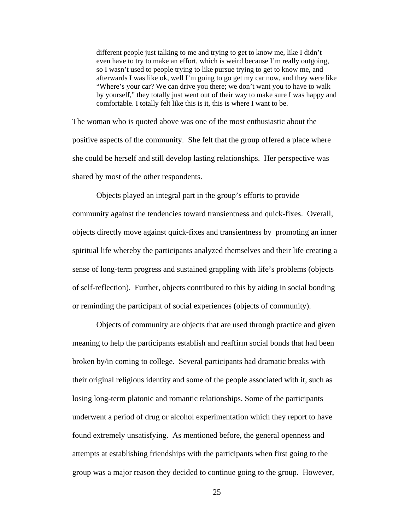different people just talking to me and trying to get to know me, like I didn't even have to try to make an effort, which is weird because I'm really outgoing, so I wasn't used to people trying to like pursue trying to get to know me, and afterwards I was like ok, well I'm going to go get my car now, and they were like "Where's your car? We can drive you there; we don't want you to have to walk by yourself," they totally just went out of their way to make sure I was happy and comfortable. I totally felt like this is it, this is where I want to be.

The woman who is quoted above was one of the most enthusiastic about the positive aspects of the community. She felt that the group offered a place where she could be herself and still develop lasting relationships. Her perspective was shared by most of the other respondents.

 Objects played an integral part in the group's efforts to provide community against the tendencies toward transientness and quick-fixes. Overall, objects directly move against quick-fixes and transientness by promoting an inner spiritual life whereby the participants analyzed themselves and their life creating a sense of long-term progress and sustained grappling with life's problems (objects of self-reflection). Further, objects contributed to this by aiding in social bonding or reminding the participant of social experiences (objects of community).

 Objects of community are objects that are used through practice and given meaning to help the participants establish and reaffirm social bonds that had been broken by/in coming to college. Several participants had dramatic breaks with their original religious identity and some of the people associated with it, such as losing long-term platonic and romantic relationships. Some of the participants underwent a period of drug or alcohol experimentation which they report to have found extremely unsatisfying. As mentioned before, the general openness and attempts at establishing friendships with the participants when first going to the group was a major reason they decided to continue going to the group. However,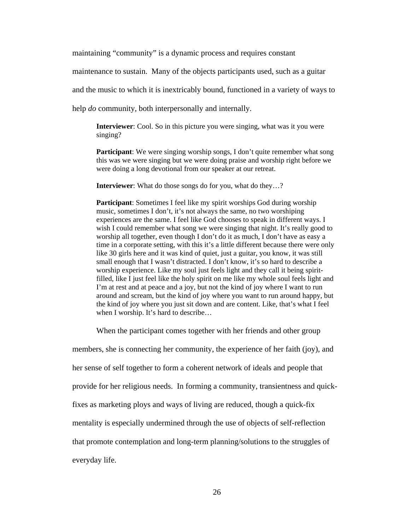maintaining "community" is a dynamic process and requires constant

maintenance to sustain. Many of the objects participants used, such as a guitar

and the music to which it is inextricably bound, functioned in a variety of ways to

help *do* community, both interpersonally and internally.

**Interviewer**: Cool. So in this picture you were singing, what was it you were singing?

**Participant:** We were singing worship songs, I don't quite remember what song this was we were singing but we were doing praise and worship right before we were doing a long devotional from our speaker at our retreat.

**Interviewer**: What do those songs do for you, what do they…?

**Participant:** Sometimes I feel like my spirit worships God during worship music, sometimes I don't, it's not always the same, no two worshiping experiences are the same. I feel like God chooses to speak in different ways. I wish I could remember what song we were singing that night. It's really good to worship all together, even though I don't do it as much, I don't have as easy a time in a corporate setting, with this it's a little different because there were only like 30 girls here and it was kind of quiet, just a guitar, you know, it was still small enough that I wasn't distracted. I don't know, it's so hard to describe a worship experience. Like my soul just feels light and they call it being spiritfilled, like I just feel like the holy spirit on me like my whole soul feels light and I'm at rest and at peace and a joy, but not the kind of joy where I want to run around and scream, but the kind of joy where you want to run around happy, but the kind of joy where you just sit down and are content. Like, that's what I feel when I worship. It's hard to describe...

When the participant comes together with her friends and other group

members, she is connecting her community, the experience of her faith (joy), and her sense of self together to form a coherent network of ideals and people that provide for her religious needs. In forming a community, transientness and quickfixes as marketing ploys and ways of living are reduced, though a quick-fix mentality is especially undermined through the use of objects of self-reflection that promote contemplation and long-term planning/solutions to the struggles of everyday life.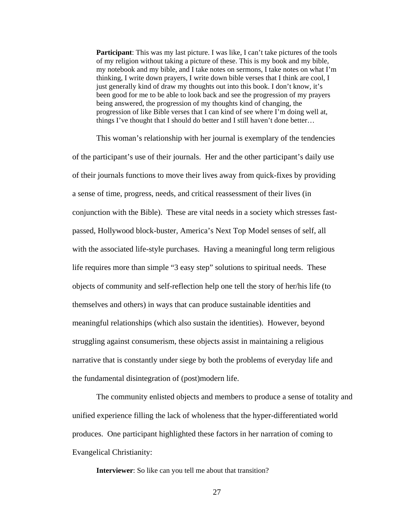**Participant:** This was my last picture. I was like, I can't take pictures of the tools of my religion without taking a picture of these. This is my book and my bible, my notebook and my bible, and I take notes on sermons, I take notes on what I'm thinking, I write down prayers, I write down bible verses that I think are cool, I just generally kind of draw my thoughts out into this book. I don't know, it's been good for me to be able to look back and see the progression of my prayers being answered, the progression of my thoughts kind of changing, the progression of like Bible verses that I can kind of see where I'm doing well at, things I've thought that I should do better and I still haven't done better…

This woman's relationship with her journal is exemplary of the tendencies of the participant's use of their journals. Her and the other participant's daily use of their journals functions to move their lives away from quick-fixes by providing a sense of time, progress, needs, and critical reassessment of their lives (in conjunction with the Bible). These are vital needs in a society which stresses fastpassed, Hollywood block-buster, America's Next Top Model senses of self, all with the associated life-style purchases. Having a meaningful long term religious life requires more than simple "3 easy step" solutions to spiritual needs. These objects of community and self-reflection help one tell the story of her/his life (to themselves and others) in ways that can produce sustainable identities and meaningful relationships (which also sustain the identities). However, beyond struggling against consumerism, these objects assist in maintaining a religious narrative that is constantly under siege by both the problems of everyday life and the fundamental disintegration of (post)modern life.

The community enlisted objects and members to produce a sense of totality and unified experience filling the lack of wholeness that the hyper-differentiated world produces. One participant highlighted these factors in her narration of coming to Evangelical Christianity:

**Interviewer**: So like can you tell me about that transition?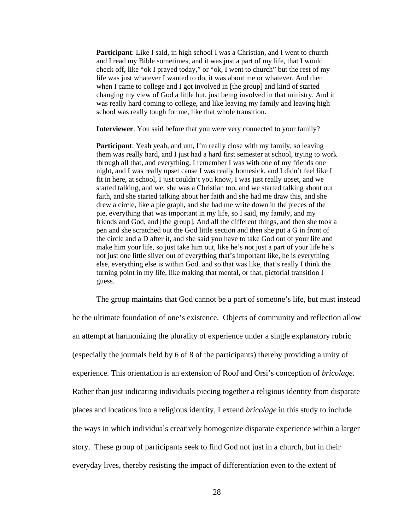**Participant:** Like I said, in high school I was a Christian, and I went to church and I read my Bible sometimes, and it was just a part of my life, that I would check off, like "ok I prayed today," or "ok, I went to church" but the rest of my life was just whatever I wanted to do, it was about me or whatever. And then when I came to college and I got involved in [the group] and kind of started changing my view of God a little but, just being involved in that ministry. And it was really hard coming to college, and like leaving my family and leaving high school was really tough for me, like that whole transition.

**Interviewer**: You said before that you were very connected to your family?

**Participant**: Yeah yeah, and um, I'm really close with my family, so leaving them was really hard, and I just had a hard first semester at school, trying to work through all that, and everything, I remember I was with one of my friends one night, and I was really upset cause I was really homesick, and I didn't feel like I fit in here, at school, I just couldn't you know, I was just really upset, and we started talking, and we, she was a Christian too, and we started talking about our faith, and she started talking about her faith and she had me draw this, and she drew a circle, like a pie graph, and she had me write down in the pieces of the pie, everything that was important in my life, so I said, my family, and my friends and God, and [the group]. And all the different things, and then she took a pen and she scratched out the God little section and then she put a G in front of the circle and a D after it, and she said you have to take God out of your life and make him your life, so just take him out, like he's not just a part of your life he's not just one little sliver out of everything that's important like, he is everything else, everything else is within God. and so that was like, that's really I think the turning point in my life, like making that mental, or that, pictorial transition I guess.

The group maintains that God cannot be a part of someone's life, but must instead

be the ultimate foundation of one's existence. Objects of community and reflection allow an attempt at harmonizing the plurality of experience under a single explanatory rubric (especially the journals held by 6 of 8 of the participants) thereby providing a unity of experience. This orientation is an extension of Roof and Orsi's conception of *bricolage*. Rather than just indicating individuals piecing together a religious identity from disparate places and locations into a religious identity, I extend *bricolage* in this study to include the ways in which individuals creatively homogenize disparate experience within a larger story. These group of participants seek to find God not just in a church, but in their everyday lives, thereby resisting the impact of differentiation even to the extent of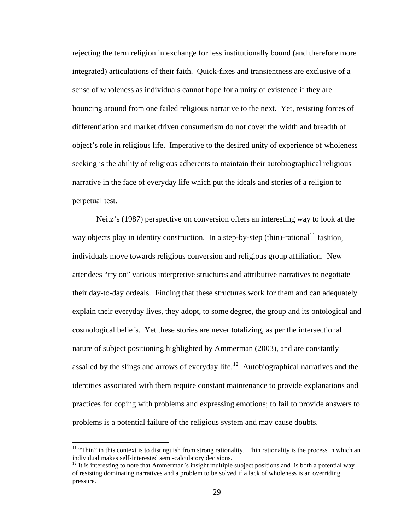rejecting the term religion in exchange for less institutionally bound (and therefore more integrated) articulations of their faith. Quick-fixes and transientness are exclusive of a sense of wholeness as individuals cannot hope for a unity of existence if they are bouncing around from one failed religious narrative to the next. Yet, resisting forces of differentiation and market driven consumerism do not cover the width and breadth of object's role in religious life. Imperative to the desired unity of experience of wholeness seeking is the ability of religious adherents to maintain their autobiographical religious narrative in the face of everyday life which put the ideals and stories of a religion to perpetual test.

Neitz's (1987) perspective on conversion offers an interesting way to look at the way objects play in identity construction. In a step-by-step (thin)-rational<sup>[11](#page-34-0)</sup> fashion, individuals move towards religious conversion and religious group affiliation. New attendees "try on" various interpretive structures and attributive narratives to negotiate their day-to-day ordeals. Finding that these structures work for them and can adequately explain their everyday lives, they adopt, to some degree, the group and its ontological and cosmological beliefs. Yet these stories are never totalizing, as per the intersectional nature of subject positioning highlighted by Ammerman (2003), and are constantly assailed by the slings and arrows of everyday life.<sup>[12](#page-34-1)</sup> Autobiographical narratives and the identities associated with them require constant maintenance to provide explanations and practices for coping with problems and expressing emotions; to fail to provide answers to problems is a potential failure of the religious system and may cause doubts.

 $\overline{a}$ 

<span id="page-34-0"></span> $11$  "Thin" in this context is to distinguish from strong rationality. Thin rationality is the process in which an individual makes self-interested semi-calculatory decisions.

<span id="page-34-1"></span> $12$  It is interesting to note that Ammerman's insight multiple subject positions and is both a potential way of resisting dominating narratives and a problem to be solved if a lack of wholeness is an overriding pressure.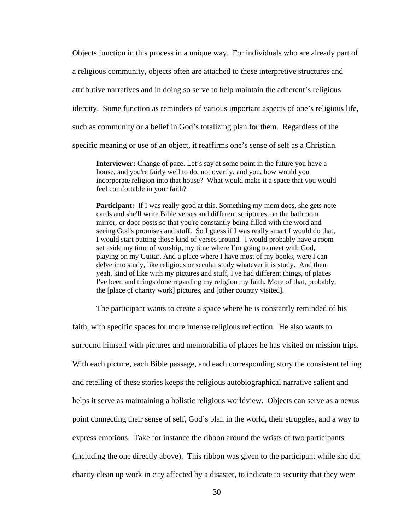Objects function in this process in a unique way. For individuals who are already part of a religious community, objects often are attached to these interpretive structures and attributive narratives and in doing so serve to help maintain the adherent's religious identity. Some function as reminders of various important aspects of one's religious life, such as community or a belief in God's totalizing plan for them. Regardless of the specific meaning or use of an object, it reaffirms one's sense of self as a Christian.

**Interviewer:** Change of pace. Let's say at some point in the future you have a house, and you're fairly well to do, not overtly, and you, how would you incorporate religion into that house? What would make it a space that you would feel comfortable in your faith?

**Participant:** If I was really good at this. Something my mom does, she gets note cards and she'll write Bible verses and different scriptures, on the bathroom mirror, or door posts so that you're constantly being filled with the word and seeing God's promises and stuff. So I guess if I was really smart I would do that, I would start putting those kind of verses around. I would probably have a room set aside my time of worship, my time where I'm going to meet with God, playing on my Guitar. And a place where I have most of my books, were I can delve into study, like religious or secular study whatever it is study. And then yeah, kind of like with my pictures and stuff, I've had different things, of places I've been and things done regarding my religion my faith. More of that, probably, the [place of charity work] pictures, and [other country visited].

The participant wants to create a space where he is constantly reminded of his

faith, with specific spaces for more intense religious reflection. He also wants to surround himself with pictures and memorabilia of places he has visited on mission trips. With each picture, each Bible passage, and each corresponding story the consistent telling and retelling of these stories keeps the religious autobiographical narrative salient and helps it serve as maintaining a holistic religious worldview. Objects can serve as a nexus point connecting their sense of self, God's plan in the world, their struggles, and a way to express emotions. Take for instance the ribbon around the wrists of two participants (including the one directly above). This ribbon was given to the participant while she did charity clean up work in city affected by a disaster, to indicate to security that they were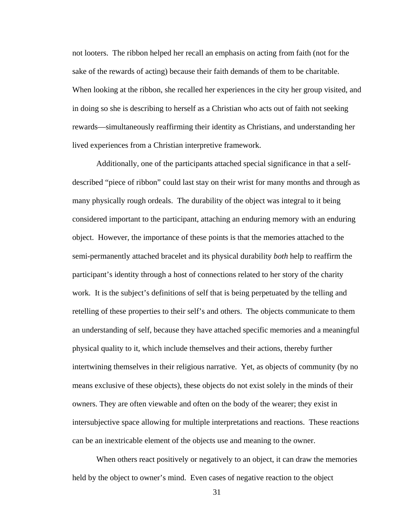not looters. The ribbon helped her recall an emphasis on acting from faith (not for the sake of the rewards of acting) because their faith demands of them to be charitable. When looking at the ribbon, she recalled her experiences in the city her group visited, and in doing so she is describing to herself as a Christian who acts out of faith not seeking rewards—simultaneously reaffirming their identity as Christians, and understanding her lived experiences from a Christian interpretive framework.

Additionally, one of the participants attached special significance in that a selfdescribed "piece of ribbon" could last stay on their wrist for many months and through as many physically rough ordeals. The durability of the object was integral to it being considered important to the participant, attaching an enduring memory with an enduring object. However, the importance of these points is that the memories attached to the semi-permanently attached bracelet and its physical durability *both* help to reaffirm the participant's identity through a host of connections related to her story of the charity work*.* It is the subject's definitions of self that is being perpetuated by the telling and retelling of these properties to their self's and others. The objects communicate to them an understanding of self, because they have attached specific memories and a meaningful physical quality to it, which include themselves and their actions, thereby further intertwining themselves in their religious narrative. Yet, as objects of community (by no means exclusive of these objects), these objects do not exist solely in the minds of their owners. They are often viewable and often on the body of the wearer; they exist in intersubjective space allowing for multiple interpretations and reactions. These reactions can be an inextricable element of the objects use and meaning to the owner.

When others react positively or negatively to an object, it can draw the memories held by the object to owner's mind. Even cases of negative reaction to the object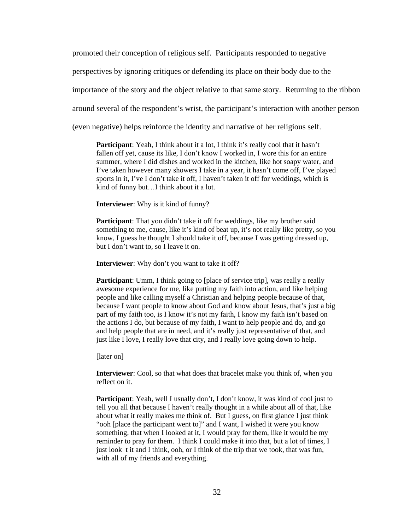promoted their conception of religious self. Participants responded to negative

perspectives by ignoring critiques or defending its place on their body due to the

importance of the story and the object relative to that same story. Returning to the ribbon

around several of the respondent's wrist, the participant's interaction with another person

(even negative) helps reinforce the identity and narrative of her religious self.

**Participant:** Yeah, I think about it a lot, I think it's really cool that it hasn't fallen off yet, cause its like, I don't know I worked in, I wore this for an entire summer, where I did dishes and worked in the kitchen, like hot soapy water, and I've taken however many showers I take in a year, it hasn't come off, I've played sports in it, I've I don't take it off, I haven't taken it off for weddings, which is kind of funny but…I think about it a lot.

**Interviewer**: Why is it kind of funny?

**Participant**: That you didn't take it off for weddings, like my brother said something to me, cause, like it's kind of beat up, it's not really like pretty, so you know, I guess he thought I should take it off, because I was getting dressed up, but I don't want to, so I leave it on.

**Interviewer**: Why don't you want to take it off?

**Participant**: Umm, I think going to [place of service trip], was really a really awesome experience for me, like putting my faith into action, and like helping people and like calling myself a Christian and helping people because of that, because I want people to know about God and know about Jesus, that's just a big part of my faith too, is I know it's not my faith, I know my faith isn't based on the actions I do, but because of my faith, I want to help people and do, and go and help people that are in need, and it's really just representative of that, and just like I love, I really love that city, and I really love going down to help.

[later on]

**Interviewer**: Cool, so that what does that bracelet make you think of, when you reflect on it.

**Participant**: Yeah, well I usually don't, I don't know, it was kind of cool just to tell you all that because I haven't really thought in a while about all of that, like about what it really makes me think of. But I guess, on first glance I just think "ooh [place the participant went to]" and I want, I wished it were you know something, that when I looked at it, I would pray for them, like it would be my reminder to pray for them. I think I could make it into that, but a lot of times, I just look t it and I think, ooh, or I think of the trip that we took, that was fun, with all of my friends and everything.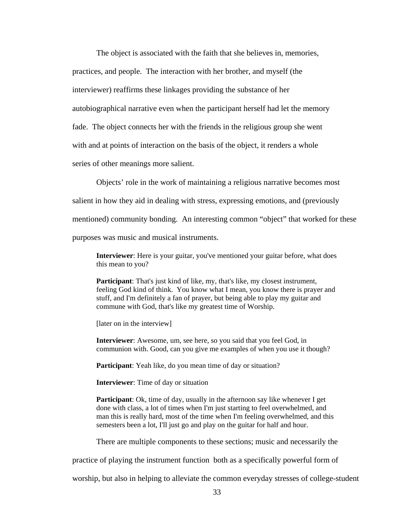The object is associated with the faith that she believes in, memories, practices, and people. The interaction with her brother, and myself (the interviewer) reaffirms these linkages providing the substance of her autobiographical narrative even when the participant herself had let the memory fade. The object connects her with the friends in the religious group she went with and at points of interaction on the basis of the object, it renders a whole series of other meanings more salient.

Objects' role in the work of maintaining a religious narrative becomes most salient in how they aid in dealing with stress, expressing emotions, and (previously mentioned) community bonding. An interesting common "object" that worked for these purposes was music and musical instruments.

**Interviewer**: Here is your guitar, you've mentioned your guitar before, what does this mean to you?

**Participant**: That's just kind of like, my, that's like, my closest instrument, feeling God kind of think. You know what I mean, you know there is prayer and stuff, and I'm definitely a fan of prayer, but being able to play my guitar and commune with God, that's like my greatest time of Worship.

[later on in the interview]

**Interviewer**: Awesome, um, see here, so you said that you feel God, in communion with. Good, can you give me examples of when you use it though?

**Participant**: Yeah like, do you mean time of day or situation?

**Interviewer**: Time of day or situation

**Participant**: Ok, time of day, usually in the afternoon say like whenever I get done with class, a lot of times when I'm just starting to feel overwhelmed, and man this is really hard, most of the time when I'm feeling overwhelmed, and this semesters been a lot, I'll just go and play on the guitar for half and hour.

There are multiple components to these sections; music and necessarily the

practice of playing the instrument function both as a specifically powerful form of

worship, but also in helping to alleviate the common everyday stresses of college-student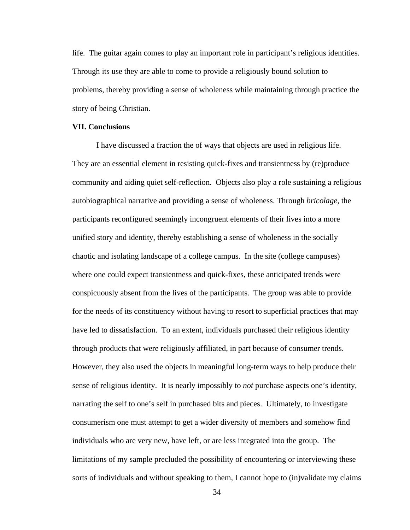<span id="page-39-0"></span>life. The guitar again comes to play an important role in participant's religious identities. Through its use they are able to come to provide a religiously bound solution to problems, thereby providing a sense of wholeness while maintaining through practice the story of being Christian.

#### **VII. Conclusions**

 I have discussed a fraction the of ways that objects are used in religious life. They are an essential element in resisting quick-fixes and transientness by (re)produce community and aiding quiet self-reflection. Objects also play a role sustaining a religious autobiographical narrative and providing a sense of wholeness. Through *bricolage*, the participants reconfigured seemingly incongruent elements of their lives into a more unified story and identity, thereby establishing a sense of wholeness in the socially chaotic and isolating landscape of a college campus. In the site (college campuses) where one could expect transientness and quick-fixes, these anticipated trends were conspicuously absent from the lives of the participants. The group was able to provide for the needs of its constituency without having to resort to superficial practices that may have led to dissatisfaction. To an extent, individuals purchased their religious identity through products that were religiously affiliated, in part because of consumer trends. However, they also used the objects in meaningful long-term ways to help produce their sense of religious identity. It is nearly impossibly to *not* purchase aspects one's identity, narrating the self to one's self in purchased bits and pieces. Ultimately, to investigate consumerism one must attempt to get a wider diversity of members and somehow find individuals who are very new, have left, or are less integrated into the group. The limitations of my sample precluded the possibility of encountering or interviewing these sorts of individuals and without speaking to them, I cannot hope to (in)validate my claims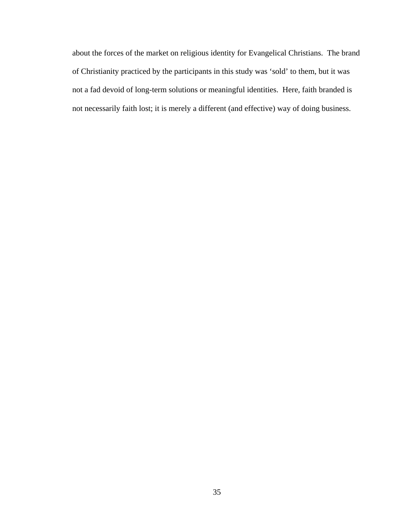about the forces of the market on religious identity for Evangelical Christians. The brand of Christianity practiced by the participants in this study was 'sold' to them, but it was not a fad devoid of long-term solutions or meaningful identities. Here, faith branded is not necessarily faith lost; it is merely a different (and effective) way of doing business.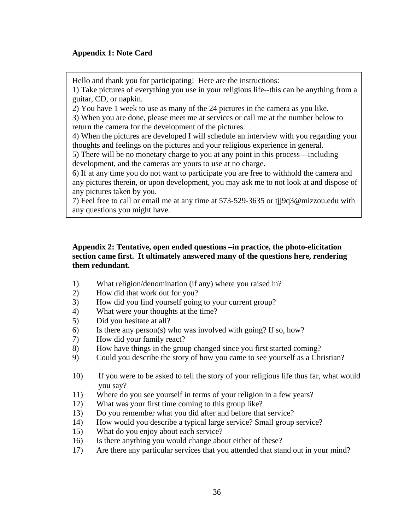# **Appendix 1: Note Card**

Hello and thank you for participating! Here are the instructions:

1) Take pictures of everything you use in your religious life--this can be anything from a guitar, CD, or napkin.

2) You have 1 week to use as many of the 24 pictures in the camera as you like.

3) When you are done, please meet me at services or call me at the number below to return the camera for the development of the pictures.

4) When the pictures are developed I will schedule an interview with you regarding your thoughts and feelings on the pictures and your religious experience in general.

5) There will be no monetary charge to you at any point in this process—including development, and the cameras are yours to use at no charge.

6) If at any time you do not want to participate you are free to withhold the camera and any pictures therein, or upon development, you may ask me to not look at and dispose of any pictures taken by you.

7) Feel free to call or email me at any time at 573-529-3635 or tjj9q3@mizzou.edu with any questions you might have.

# **Appendix 2: Tentative, open ended questions –in practice, the photo-elicitation section came first. It ultimately answered many of the questions here, rendering them redundant.**

- 1) What religion/denomination (if any) where you raised in?
- 2) How did that work out for you?
- 3) How did you find yourself going to your current group?
- 4) What were your thoughts at the time?
- 5) Did you hesitate at all?
- 6) Is there any person(s) who was involved with going? If so, how?
- 7) How did your family react?
- 8) How have things in the group changed since you first started coming?
- 9) Could you describe the story of how you came to see yourself as a Christian?
- 10) If you were to be asked to tell the story of your religious life thus far, what would you say?
- 11) Where do you see yourself in terms of your religion in a few years?
- 12) What was your first time coming to this group like?
- 13) Do you remember what you did after and before that service?
- 14) How would you describe a typical large service? Small group service?
- 15) What do you enjoy about each service?
- 16) Is there anything you would change about either of these?
- 17) Are there any particular services that you attended that stand out in your mind?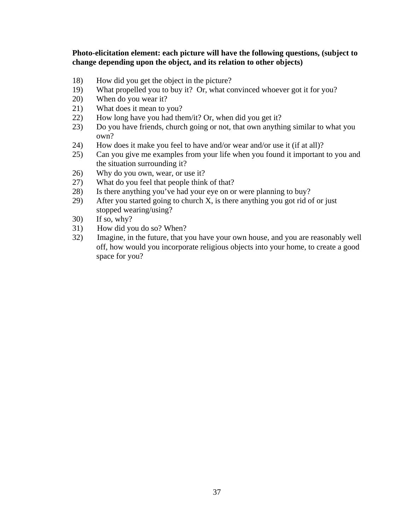## **Photo-elicitation element: each picture will have the following questions, (subject to change depending upon the object, and its relation to other objects)**

- 18) How did you get the object in the picture?
- 19) What propelled you to buy it? Or, what convinced whoever got it for you?
- 20) When do you wear it?
- 21) What does it mean to you?
- 22) How long have you had them/it? Or, when did you get it?
- 23) Do you have friends, church going or not, that own anything similar to what you own?
- 24) How does it make you feel to have and/or wear and/or use it (if at all)?
- 25) Can you give me examples from your life when you found it important to you and the situation surrounding it?
- 26) Why do you own, wear, or use it?
- 27) What do you feel that people think of that?
- 28) Is there anything you've had your eye on or were planning to buy?
- 29) After you started going to church X, is there anything you got rid of or just stopped wearing/using?
- 30) If so, why?
- 31) How did you do so? When?
- 32) Imagine, in the future, that you have your own house, and you are reasonably well off, how would you incorporate religious objects into your home, to create a good space for you?